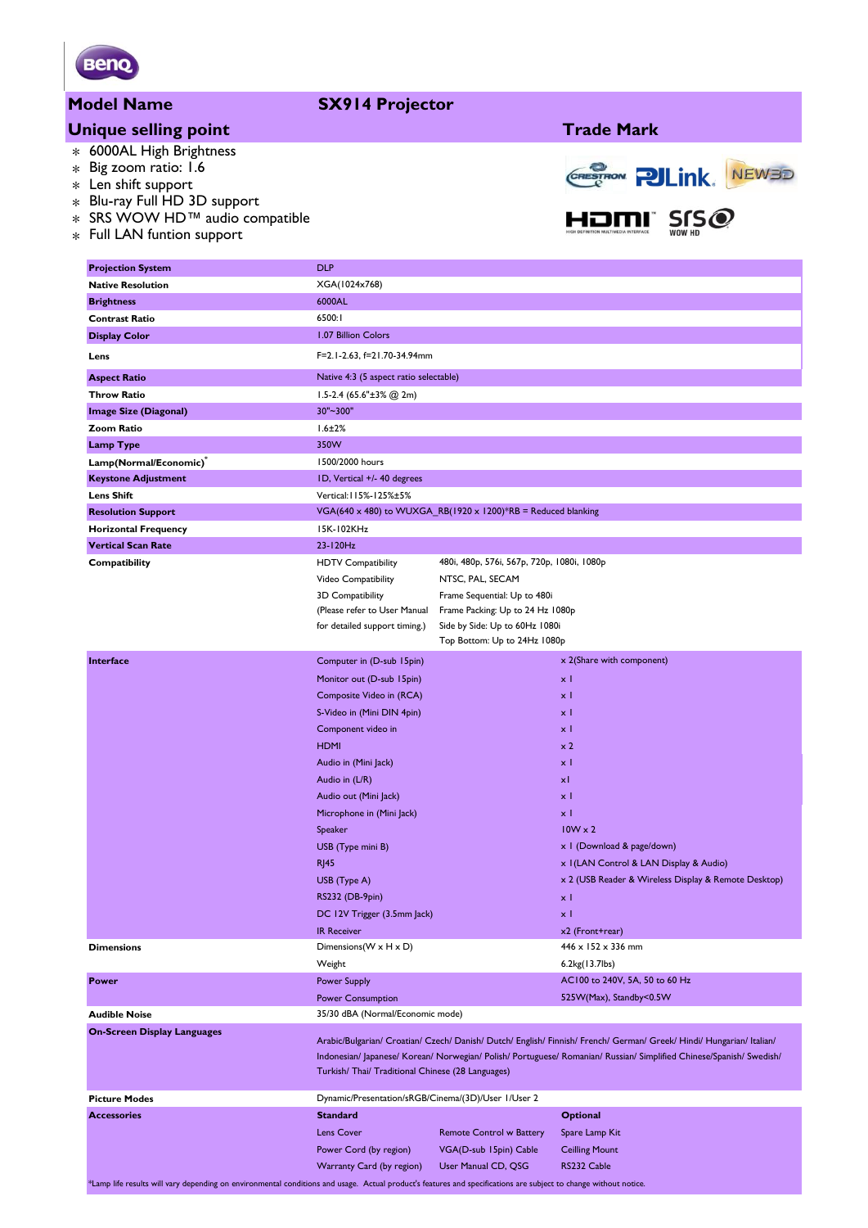

#### **Model Name SX914 Projector**

## **Unique selling point Trade Mark**

- \* 6000AL High Brightness
- \* Big zoom ratio: 1.6
- \* Len shift support
- \* Blu-ray Full HD 3D support
- \* SRS WOW HD™ audio compatible<br>F "LAN's ci
- \* Full LAN funtion support



| <b>Projection System</b>           | <b>DLP</b>                                                                                                                                                                                                                                    |                                                                    |                                                      |  |  |  |  |  |
|------------------------------------|-----------------------------------------------------------------------------------------------------------------------------------------------------------------------------------------------------------------------------------------------|--------------------------------------------------------------------|------------------------------------------------------|--|--|--|--|--|
| <b>Native Resolution</b>           | XGA(1024x768)                                                                                                                                                                                                                                 |                                                                    |                                                      |  |  |  |  |  |
| <b>Brightness</b>                  | 6000AL                                                                                                                                                                                                                                        |                                                                    |                                                      |  |  |  |  |  |
| <b>Contrast Ratio</b>              | 6500:1                                                                                                                                                                                                                                        |                                                                    |                                                      |  |  |  |  |  |
| <b>Display Color</b>               | 1.07 Billion Colors                                                                                                                                                                                                                           |                                                                    |                                                      |  |  |  |  |  |
| Lens                               | F=2.1-2.63, f=21.70-34.94mm                                                                                                                                                                                                                   |                                                                    |                                                      |  |  |  |  |  |
| <b>Aspect Ratio</b>                | Native 4:3 (5 aspect ratio selectable)                                                                                                                                                                                                        |                                                                    |                                                      |  |  |  |  |  |
| <b>Throw Ratio</b>                 | 1.5-2.4 $(65.6" \pm 3% \text{ @ } 2m)$                                                                                                                                                                                                        |                                                                    |                                                      |  |  |  |  |  |
| <b>Image Size (Diagonal)</b>       | 30"~300"                                                                                                                                                                                                                                      |                                                                    |                                                      |  |  |  |  |  |
| <b>Zoom Ratio</b>                  | $1.6 \pm 2\%$                                                                                                                                                                                                                                 |                                                                    |                                                      |  |  |  |  |  |
| <b>Lamp Type</b>                   | 350W                                                                                                                                                                                                                                          |                                                                    |                                                      |  |  |  |  |  |
| Lamp(Normal/Economic)              | 1500/2000 hours                                                                                                                                                                                                                               |                                                                    |                                                      |  |  |  |  |  |
| <b>Keystone Adjustment</b>         | ID, Vertical +/- 40 degrees                                                                                                                                                                                                                   |                                                                    |                                                      |  |  |  |  |  |
| <b>Lens Shift</b>                  | Vertical: I 15%-125%±5%                                                                                                                                                                                                                       |                                                                    |                                                      |  |  |  |  |  |
| <b>Resolution Support</b>          | VGA(640 x 480) to WUXGA_RB(1920 x 1200)*RB = Reduced blanking                                                                                                                                                                                 |                                                                    |                                                      |  |  |  |  |  |
| <b>Horizontal Frequency</b>        | 15K-102KHz                                                                                                                                                                                                                                    |                                                                    |                                                      |  |  |  |  |  |
| <b>Vertical Scan Rate</b>          | 23-120Hz                                                                                                                                                                                                                                      |                                                                    |                                                      |  |  |  |  |  |
| Compatibility                      | <b>HDTV Compatibility</b>                                                                                                                                                                                                                     | 480i, 480p, 576i, 567p, 720p, 1080i, 1080p                         |                                                      |  |  |  |  |  |
|                                    | Video Compatibility                                                                                                                                                                                                                           | NTSC, PAL, SECAM                                                   |                                                      |  |  |  |  |  |
|                                    | 3D Compatibility                                                                                                                                                                                                                              | Frame Sequential: Up to 480i                                       |                                                      |  |  |  |  |  |
|                                    | (Please refer to User Manual<br>for detailed support timing.)                                                                                                                                                                                 | Frame Packing: Up to 24 Hz 1080p<br>Side by Side: Up to 60Hz 1080i |                                                      |  |  |  |  |  |
|                                    |                                                                                                                                                                                                                                               | Top Bottom: Up to 24Hz 1080p                                       |                                                      |  |  |  |  |  |
| Interface                          | Computer in (D-sub 15pin)                                                                                                                                                                                                                     |                                                                    | x 2(Share with component)                            |  |  |  |  |  |
|                                    |                                                                                                                                                                                                                                               |                                                                    |                                                      |  |  |  |  |  |
|                                    | Monitor out (D-sub 15pin)                                                                                                                                                                                                                     |                                                                    | x I                                                  |  |  |  |  |  |
|                                    | Composite Video in (RCA)                                                                                                                                                                                                                      |                                                                    | $\times$ 1<br>$\times$ 1                             |  |  |  |  |  |
|                                    | S-Video in (Mini DIN 4pin)                                                                                                                                                                                                                    |                                                                    | x I                                                  |  |  |  |  |  |
|                                    | Component video in<br><b>HDMI</b>                                                                                                                                                                                                             |                                                                    | $\times 2$                                           |  |  |  |  |  |
|                                    | Audio in (Mini Jack)                                                                                                                                                                                                                          |                                                                    | $\times$ 1                                           |  |  |  |  |  |
|                                    | Audio in (L/R)                                                                                                                                                                                                                                |                                                                    | xI                                                   |  |  |  |  |  |
|                                    | Audio out (Mini Jack)                                                                                                                                                                                                                         |                                                                    | $\times$ 1                                           |  |  |  |  |  |
|                                    | Microphone in (Mini Jack)                                                                                                                                                                                                                     |                                                                    | $\times$ 1                                           |  |  |  |  |  |
|                                    | Speaker                                                                                                                                                                                                                                       |                                                                    | $10W \times 2$                                       |  |  |  |  |  |
|                                    | USB (Type mini B)                                                                                                                                                                                                                             |                                                                    | x I (Download & page/down)                           |  |  |  |  |  |
|                                    | <b>RJ45</b>                                                                                                                                                                                                                                   |                                                                    | x I (LAN Control & LAN Display & Audio)              |  |  |  |  |  |
|                                    | USB (Type A)                                                                                                                                                                                                                                  |                                                                    | x 2 (USB Reader & Wireless Display & Remote Desktop) |  |  |  |  |  |
|                                    | RS232 (DB-9pin)                                                                                                                                                                                                                               |                                                                    | x I                                                  |  |  |  |  |  |
|                                    | DC 12V Trigger (3.5mm Jack)                                                                                                                                                                                                                   |                                                                    | χI                                                   |  |  |  |  |  |
|                                    | <b>IR Receiver</b>                                                                                                                                                                                                                            |                                                                    | x2 (Front+rear)                                      |  |  |  |  |  |
| <b>Dimensions</b>                  | Dimensions(W x H x D)                                                                                                                                                                                                                         |                                                                    | 446 x 152 x 336 mm                                   |  |  |  |  |  |
|                                    | Weight                                                                                                                                                                                                                                        |                                                                    | 6.2kg(13.7lbs)                                       |  |  |  |  |  |
| <b>Power</b>                       | <b>Power Supply</b>                                                                                                                                                                                                                           |                                                                    | AC100 to 240V, 5A, 50 to 60 Hz                       |  |  |  |  |  |
|                                    | <b>Power Consumption</b>                                                                                                                                                                                                                      |                                                                    | 525W(Max), Standby<0.5W                              |  |  |  |  |  |
| <b>Audible Noise</b>               | 35/30 dBA (Normal/Economic mode)                                                                                                                                                                                                              |                                                                    |                                                      |  |  |  |  |  |
| <b>On-Screen Display Languages</b> |                                                                                                                                                                                                                                               |                                                                    |                                                      |  |  |  |  |  |
|                                    | Arabic/Bulgarian/ Croatian/ Czech/ Danish/ Dutch/ English/ Finnish/ French/ German/ Greek/ Hindi/ Hungarian/ Italian/<br>Indonesian/ Japanese/ Korean/ Norwegian/ Polish/ Portuguese/ Romanian/ Russian/ Simplified Chinese/Spanish/ Swedish/ |                                                                    |                                                      |  |  |  |  |  |
|                                    | Turkish/ Thai/ Traditional Chinese (28 Languages)                                                                                                                                                                                             |                                                                    |                                                      |  |  |  |  |  |
|                                    |                                                                                                                                                                                                                                               |                                                                    |                                                      |  |  |  |  |  |
| <b>Picture Modes</b>               | Dynamic/Presentation/sRGB/Cinema/(3D)/User 1/User 2                                                                                                                                                                                           |                                                                    |                                                      |  |  |  |  |  |
| <b>Accessories</b>                 | <b>Standard</b>                                                                                                                                                                                                                               |                                                                    | <b>Optional</b>                                      |  |  |  |  |  |
|                                    | <b>Lens Cover</b>                                                                                                                                                                                                                             | <b>Remote Control w Battery</b>                                    | Spare Lamp Kit                                       |  |  |  |  |  |
|                                    | Power Cord (by region)                                                                                                                                                                                                                        | VGA(D-sub 15pin) Cable                                             | <b>Ceilling Mount</b>                                |  |  |  |  |  |
|                                    | Warranty Card (by region)                                                                                                                                                                                                                     | User Manual CD, QSG                                                | RS232 Cable                                          |  |  |  |  |  |

\*Lamp life results will vary depending on environmental conditions and usage. Actual product's features and specifications are subject to change without notice.